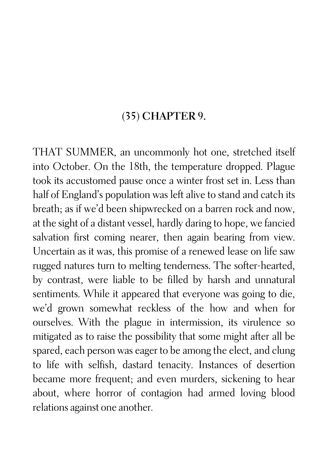## (35) CHAPTER 9.

THAT SUMMER, an uncommonly hot one, stretched itself into October. On the 18th, the temperature dropped. Plague took its accustomed pause once a winter frost set in. Less than half of England's population was left alive to stand and catch its breath; as if we'd been shipwrecked on a barren rock and now, at the sight of a distant vessel, hardly daring to hope, we fancied salvation first coming nearer, then again bearing from view. Uncertain as it was, this promise of a renewed lease on life saw rugged natures turn to melting tenderness. The softer-hearted, by contrast, were liable to be filled by harsh and unnatural sentiments. While it appeared that everyone was going to die, we'd grown somewhat reckless of the how and when for ourselves. With the plague in intermission, its virulence so mitigated as to raise the possibility that some might after all be spared, each person was eager to be among the elect, and clung to life with selfish, dastard tenacity. Instances of desertion became more frequent; and even murders, sickening to hear about, where horror of contagion had armed loving blood relations against one another.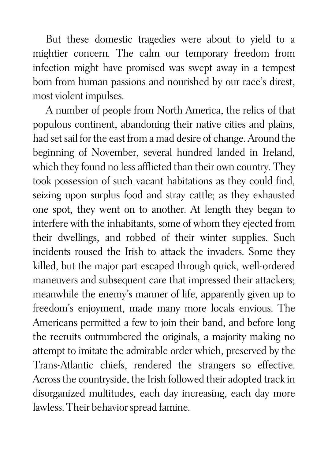But these domestic tragedies were about to yield to a mightier concern. The calm our temporary freedom from infection might have promised was swept away in a tempest born from human passions and nourished by our race's direst, most violent impulses.

A number of people from North America, the relics of that populous continent, abandoning their native cities and plains, had set sail for the east from a mad desire of change. Around the beginning of November, several hundred landed in Ireland, which they found no less afflicted than their own country. They took possession of such vacant habitations as they could find, seizing upon surplus food and stray cattle; as they exhausted one spot, they went on to another. At length they began to interfere with the inhabitants, some of whom they ejected from their dwellings, and robbed of their winter supplies. Such incidents roused the Irish to attack the invaders. Some they killed, but the major part escaped through quick, well-ordered maneuvers and subsequent care that impressed their attackers; meanwhile the enemy's manner of life, apparently given up to freedom's enjoyment, made many more locals envious. The Americans permitted a few to join their band, and before long the recruits outnumbered the originals, a majority making no attempt to imitate the admirable order which, preserved by the Trans-Atlantic chiefs, rendered the strangers so effective. Across the countryside, the Irish followed their adopted track in disorganized multitudes, each day increasing, each day more lawless. Their behavior spread famine.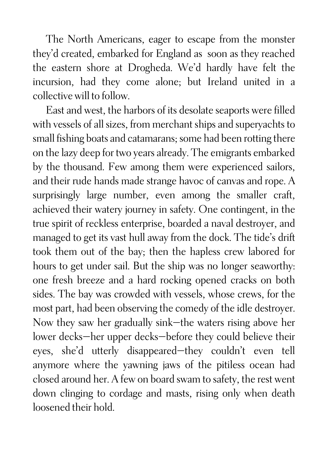The North Americans, eager to escape from the monster they'd created, embarked for England as soon as they reached the eastern shore at Drogheda. We'd hardly have felt the incursion, had they come alone; but Ireland united in a collective will to follow.

East and west, the harbors of its desolate seaports were filled with vessels of all sizes, from merchant ships and superyachts to small fishing boats and catamarans; some had been rotting there on the lazy deep for two years already. The emigrants embarked by the thousand. Few among them were experienced sailors, and their rude hands made strange havoc of canvas and rope. A surprisingly large number, even among the smaller craft, achieved their watery journey in safety. One contingent, in the true spirit of reckless enterprise, boarded a naval destroyer, and managed to get its vast hull away from the dock. The tide's drift took them out of the bay; then the hapless crew labored for hours to get under sail. But the ship was no longer seaworthy: one fresh breeze and a hard rocking opened cracks on both sides. The bay was crowded with vessels, whose crews, for the most part, had been observing the comedy of the idle destroyer. Now they saw her gradually sink—the waters rising above her lower decks—her upper decks—before they could believe their eyes, she'd utterly disappeared—they couldn't even tell anymore where the yawning jaws of the pitiless ocean had closed around her. A few on board swam to safety, the rest went down clinging to cordage and masts, rising only when death loosened their hold.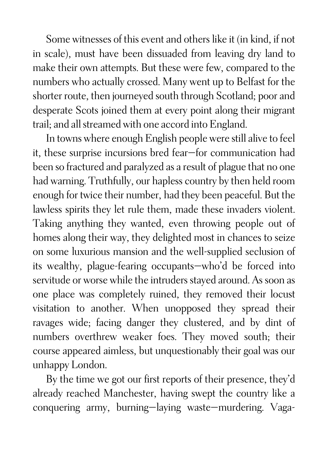Some witnesses of this event and others like it (in kind, if not in scale), must have been dissuaded from leaving dry land to make their own attempts. But these were few, compared to the numbers who actually crossed. Many went up to Belfast for the shorter route, then journeyed south through Scotland; poor and desperate Scots joined them at every point along their migrant trail; and all streamed with one accord into England.

In towns where enough English people were still alive to feel it, these surprise incursions bred fear—for communication had been so fractured and paralyzed as a result of plague that no one had warning. Truthfully, our hapless country by then held room enough for twice their number, had they been peaceful. But the lawless spirits they let rule them, made these invaders violent. Taking anything they wanted, even throwing people out of homes along their way, they delighted most in chances to seize on some luxurious mansion and the well-supplied seclusion of its wealthy, plague-fearing occupants—who'd be forced into servitude or worse while the intruders stayed around. As soon as one place was completely ruined, they removed their locust visitation to another. When unopposed they spread their ravages wide; facing danger they clustered, and by dint of numbers overthrew weaker foes. They moved south; their course appeared aimless, but unquestionably their goal was our unhappy London.

By the time we got our first reports of their presence, they'd already reached Manchester, having swept the country like a conquering army, burning—laying waste—murdering. Vaga-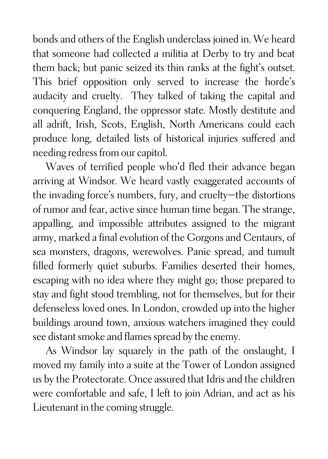bonds and others of the English underclass joined in. We heard that someone had collected a militia at Derby to try and beat them back; but panic seized its thin ranks at the fight's outset. This brief opposition only served to increase the horde's audacity and cruelty. They talked of taking the capital and conquering England, the oppressor state. Mostly destitute and all adrift, Irish, Scots, English, North Americans could each produce long, detailed lists of historical injuries suffered and needing redress from our capitol.

Waves of terrified people who'd fled their advance began arriving at Windsor. We heard vastly exaggerated accounts of the invading force's numbers, fury, and cruelty—the distortions of rumor and fear, active since human time began. The strange, appalling, and impossible attributes assigned to the migrant army, marked a final evolution of the Gorgons and Centaurs, of sea monsters, dragons, werewolves. Panic spread, and tumult filled formerly quiet suburbs. Families deserted their homes, escaping with no idea where they might go; those prepared to stay and fight stood trembling, not for themselves, but for their defenseless loved ones. In London, crowded up into the higher buildings around town, anxious watchers imagined they could see distant smoke and flames spread by the enemy.

As Windsor lay squarely in the path of the onslaught, I moved my family into a suite at the Tower of London assigned us by the Protectorate. Once assured that Idris and the children were comfortable and safe, I left to join Adrian, and act as his Lieutenant in the coming struggle.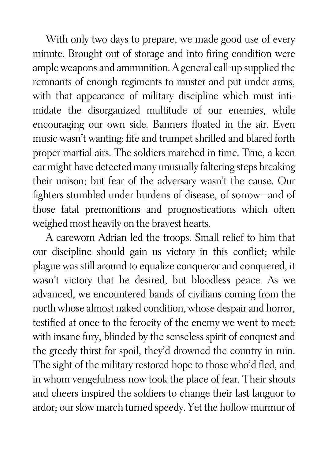With only two days to prepare, we made good use of every minute. Brought out of storage and into firing condition were ample weapons and ammunition. A general call-up supplied the remnants of enough regiments to muster and put under arms, with that appearance of military discipline which must intimidate the disorganized multitude of our enemies, while encouraging our own side. Banners floated in the air. Even music wasn't wanting: fife and trumpet shrilled and blared forth proper martial airs. The soldiers marched in time. True, a keen ear might have detected many unusually faltering steps breaking their unison; but fear of the adversary wasn't the cause. Our fighters stumbled under burdens of disease, of sorrow—and of those fatal premonitions and prognostications which often weighed most heavily on the bravest hearts.

A careworn Adrian led the troops. Small relief to him that our discipline should gain us victory in this conflict; while plague was still around to equalize conqueror and conquered, it wasn't victory that he desired, but bloodless peace. As we advanced, we encountered bands of civilians coming from the north whose almost naked condition, whose despair and horror, testified at once to the ferocity of the enemy we went to meet: with insane fury, blinded by the senseless spirit of conquest and the greedy thirst for spoil, they'd drowned the country in ruin. The sight of the military restored hope to those who'd fled, and in whom vengefulness now took the place of fear. Their shouts and cheers inspired the soldiers to change their last languor to ardor; our slow march turned speedy. Yet the hollow murmur of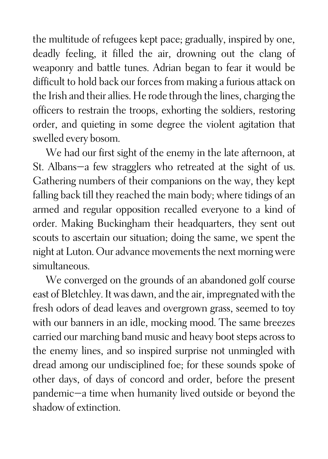the multitude of refugees kept pace; gradually, inspired by one, deadly feeling, it filled the air, drowning out the clang of weaponry and battle tunes. Adrian began to fear it would be difficult to hold back our forces from making a furious attack on the Irish and their allies. He rode through the lines, charging the officers to restrain the troops, exhorting the soldiers, restoring order, and quieting in some degree the violent agitation that swelled every bosom.

We had our first sight of the enemy in the late afternoon, at St. Albans—a few stragglers who retreated at the sight of us. Gathering numbers of their companions on the way, they kept falling back till they reached the main body; where tidings of an armed and regular opposition recalled everyone to a kind of order. Making Buckingham their headquarters, they sent out scouts to ascertain our situation; doing the same, we spent the night at Luton. Our advance movements the next morning were simultaneous.

We converged on the grounds of an abandoned golf course east of Bletchley. It was dawn, and the air, impregnated with the fresh odors of dead leaves and overgrown grass, seemed to toy with our banners in an idle, mocking mood. The same breezes carried our marching band music and heavy boot steps across to the enemy lines, and so inspired surprise not unmingled with dread among our undisciplined foe; for these sounds spoke of other days, of days of concord and order, before the present pandemic—a time when humanity lived outside or beyond the shadow of extinction.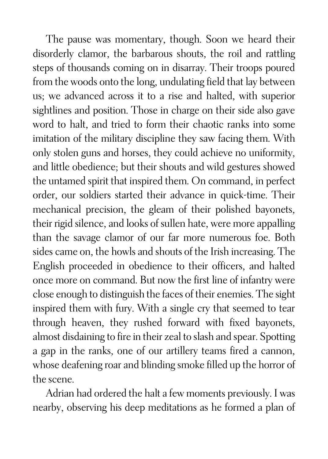The pause was momentary, though. Soon we heard their disorderly clamor, the barbarous shouts, the roil and rattling steps of thousands coming on in disarray. Their troops poured from the woods onto the long, undulating field that lay between us; we advanced across it to a rise and halted, with superior sightlines and position. Those in charge on their side also gave word to halt, and tried to form their chaotic ranks into some imitation of the military discipline they saw facing them. With only stolen guns and horses, they could achieve no uniformity, and little obedience; but their shouts and wild gestures showed the untamed spirit that inspired them. On command, in perfect order, our soldiers started their advance in quick-time. Their mechanical precision, the gleam of their polished bayonets, their rigid silence, and looks of sullen hate, were more appalling than the savage clamor of our far more numerous foe. Both sides came on, the howls and shouts of the Irish increasing. The English proceeded in obedience to their officers, and halted once more on command. But now the first line of infantry were close enough to distinguish the faces of their enemies. The sight inspired them with fury. With a single cry that seemed to tear through heaven, they rushed forward with fixed bayonets, almost disdaining to fire in their zeal to slash and spear. Spotting a gap in the ranks, one of our artillery teams fired a cannon, whose deafening roar and blinding smoke filled up the horror of the scene.

Adrian had ordered the halt a few moments previously. I was nearby, observing his deep meditations as he formed a plan of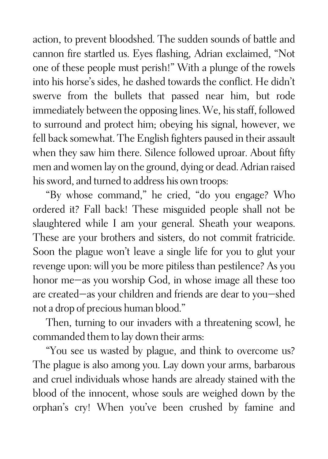action, to prevent bloodshed. The sudden sounds of battle and cannon fire startled us. Eyes flashing, Adrian exclaimed, "Not one of these people must perish!" With a plunge of the rowels into his horse's sides, he dashed towards the conflict. He didn't swerve from the bullets that passed near him, but rode immediately between the opposing lines. We, his staff, followed to surround and protect him; obeying his signal, however, we fell back somewhat. The English fighters paused in their assault when they saw him there. Silence followed uproar. About fifty men and women lay on the ground, dying or dead. Adrian raised his sword, and turned to address his own troops:

"By whose command," he cried, "do you engage? Who ordered it? Fall back! These misguided people shall not be slaughtered while I am your general. Sheath your weapons. These are your brothers and sisters, do not commit fratricide. Soon the plague won't leave a single life for you to glut your revenge upon: will you be more pitiless than pestilence? As you honor me—as you worship God, in whose image all these too are created—as your children and friends are dear to you—shed not a drop of precious human blood."

Then, turning to our invaders with a threatening scowl, he commanded them to lay down their arms:

"You see us wasted by plague, and think to overcome us? The plague is also among you. Lay down your arms, barbarous and cruel individuals whose hands are already stained with the blood of the innocent, whose souls are weighed down by the orphan's cry! When you've been crushed by famine and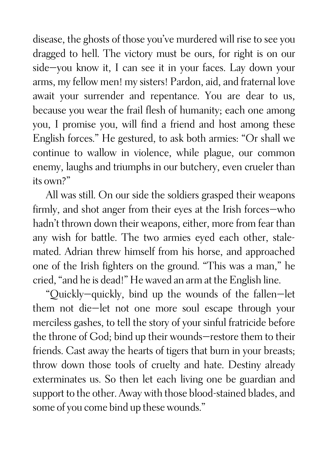disease, the ghosts of those you've murdered will rise to see you dragged to hell. The victory must be ours, for right is on our side—you know it, I can see it in your faces. Lay down your arms, my fellow men! my sisters! Pardon, aid, and fraternal love await your surrender and repentance. You are dear to us, because you wear the frail flesh of humanity; each one among you, I promise you, will find a friend and host among these English forces." He gestured, to ask both armies: "Or shall we continue to wallow in violence, while plague, our common enemy, laughs and triumphs in our butchery, even crueler than its own?"

All was still. On our side the soldiers grasped their weapons firmly, and shot anger from their eyes at the Irish forces—who hadn't thrown down their weapons, either, more from fear than any wish for battle. The two armies eyed each other, stalemated. Adrian threw himself from his horse, and approached one of the Irish fighters on the ground. "This was a man," he cried, "and he is dead!" He waved an arm at the English line.

"Quickly—quickly, bind up the wounds of the fallen—let them not die—let not one more soul escape through your merciless gashes, to tell the story of your sinful fratricide before the throne of God; bind up their wounds—restore them to their friends. Cast away the hearts of tigers that burn in your breasts; throw down those tools of cruelty and hate. Destiny already exterminates us. So then let each living one be guardian and support to the other. Away with those blood-stained blades, and some of you come bind up these wounds."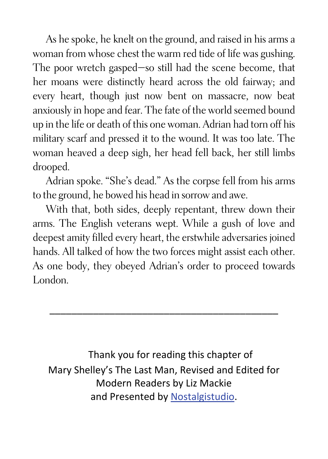As he spoke, he knelt on the ground, and raised in his arms a woman from whose chest the warm red tide of life was gushing. The poor wretch gasped—so still had the scene become, that her moans were distinctly heard across the old fairway; and every heart, though just now bent on massacre, now beat anxiously in hope and fear. The fate of the world seemed bound up in the life or death of this one woman. Adrian had torn off his military scarf and pressed it to the wound. It was too late. The woman heaved a deep sigh, her head fell back, her still limbs drooped.

Adrian spoke. "She's dead." As the corpse fell from his arms to the ground, he bowed his head in sorrow and awe.

With that, both sides, deeply repentant, threw down their arms. The English veterans wept. While a gush of love and deepest amity filled every heart, the erstwhile adversaries joined hands. All talked of how the two forces might assist each other. As one body, they obeyed Adrian's order to proceed towards London.

\_\_\_\_\_\_\_\_\_\_\_\_\_\_\_\_\_\_\_\_\_\_\_\_\_\_\_\_\_\_\_\_\_\_\_\_\_\_\_\_\_\_

Thank you for reading this chapter of Mary Shelley's The Last Man, Revised and Edited for Modern Readers by Liz Mackie and Presented by [Nostalgistudio](https://nostalgistudio.com/).